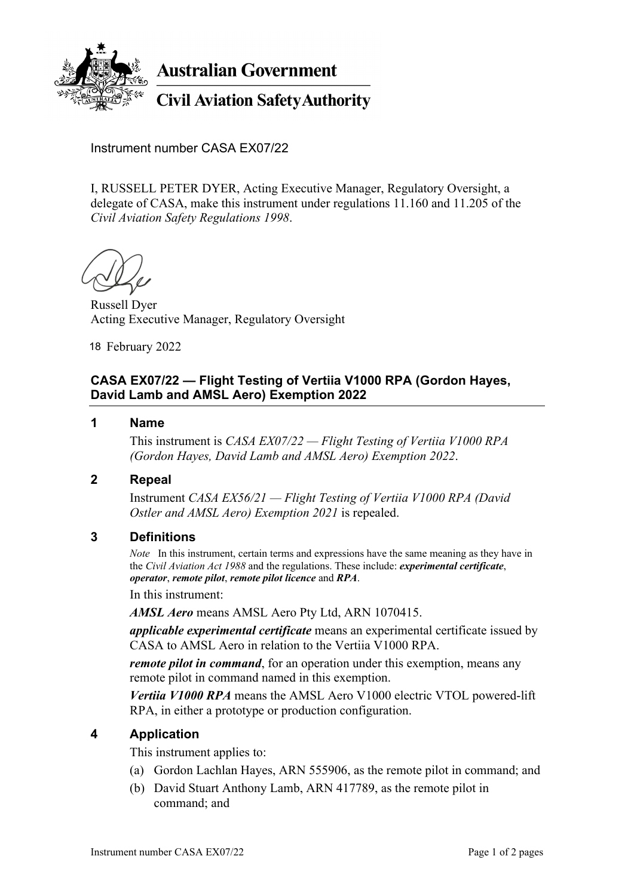

**Australian Government** 

# **Civil Aviation Safety Authority**

Instrument number CASA EX07/22

I, RUSSELL PETER DYER, Acting Executive Manager, Regulatory Oversight, a delegate of CASA, make this instrument under regulations 11.160 and 11.205 of the *Civil Aviation Safety Regulations 1998*.

Russell Dyer Acting Executive Manager, Regulatory Oversight

18 February 2022

# **CASA EX07/22 — Flight Testing of Vertiia V1000 RPA (Gordon Hayes, David Lamb and AMSL Aero) Exemption 2022**

#### **1 Name**

 This instrument is *CASA EX07/22 — Flight Testing of Vertiia V1000 RPA (Gordon Hayes, David Lamb and AMSL Aero) Exemption 2022*.

#### **2 Repeal**

 Instrument *CASA EX56/21 — Flight Testing of Vertiia V1000 RPA (David Ostler and AMSL Aero) Exemption 2021* is repealed.

#### **3 Definitions**

*Note* In this instrument, certain terms and expressions have the same meaning as they have in the *Civil Aviation Act 1988* and the regulations. These include: *experimental certificate*, *operator*, *remote pilot*, *remote pilot licence* and *RPA*.

#### In this instrument:

*AMSL Aero* means AMSL Aero Pty Ltd, ARN 1070415.

*applicable experimental certificate* means an experimental certificate issued by CASA to AMSL Aero in relation to the Vertiia V1000 RPA.

*remote pilot in command*, for an operation under this exemption, means any remote pilot in command named in this exemption.

*Vertiia V1000 RPA* means the AMSL Aero V1000 electric VTOL powered-lift RPA, in either a prototype or production configuration.

#### **4 Application**

This instrument applies to:

- (a) Gordon Lachlan Hayes, ARN 555906, as the remote pilot in command; and
- (b) David Stuart Anthony Lamb, ARN 417789, as the remote pilot in command; and